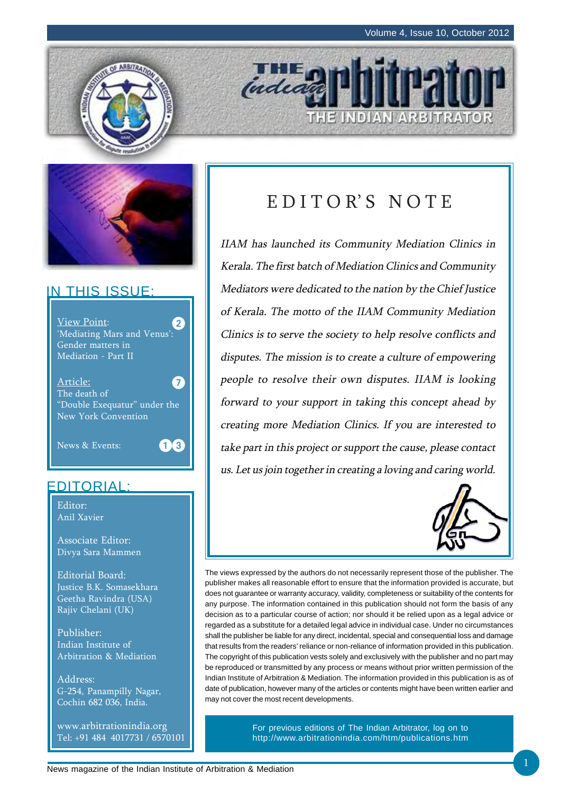THE INDIAN ARBITRATOR



## IN THIS ISSUE:



## EDITORIAL:

Editor: Anil Xavier

Associate Editor: Divya Sara Mammen

Editorial Board: Justice B.K. Somasekhara Geetha Ravindra (USA) Rajiv Chelani (UK)

Publisher: Indian Institute of Arbitration & Mediation

Address: G-254, Panampilly Nagar, Cochin 682 036, India.

www.arbitrationindia.org Tel: +91 484 4017731 / 6570101

# E D I T O R' S N O T E

**THE** 

IIAM has launched its Community Mediation Clinics in Kerala. The first batch of Mediation Clinics and Community Mediators were dedicated to the nation by the Chief Justice of Kerala. The motto of the IIAM Community Mediation Clinics is to serve the society to help resolve conflicts and disputes. The mission is to create a culture of empowering people to resolve their own disputes. IIAM is looking forward to your support in taking this concept ahead by creating more Mediation Clinics. If you are interested to take part in this project or support the cause, please contact us. Let us join together in creating a loving and caring world.



The views expressed by the authors do not necessarily represent those of the publisher. The publisher makes all reasonable effort to ensure that the information provided is accurate, but does not guarantee or warranty accuracy, validity, completeness or suitability of the contents for any purpose. The information contained in this publication should not form the basis of any decision as to a particular course of action; nor should it be relied upon as a legal advice or regarded as a substitute for a detailed legal advice in individual case. Under no circumstances shall the publisher be liable for any direct, incidental, special and consequential loss and damage that results from the readers' reliance or non-reliance of information provided in this publication. The copyright of this publication vests solely and exclusively with the publisher and no part may be reproduced or transmitted by any process or means without prior written permission of the Indian Institute of Arbitration & Mediation. The information provided in this publication is as of date of publication, however many of the articles or contents might have been written earlier and may not cover the most recent developments.

> For previous editions of The Indian Arbitrator, log on to http://www.arbitrationindia.com/htm/publications.htm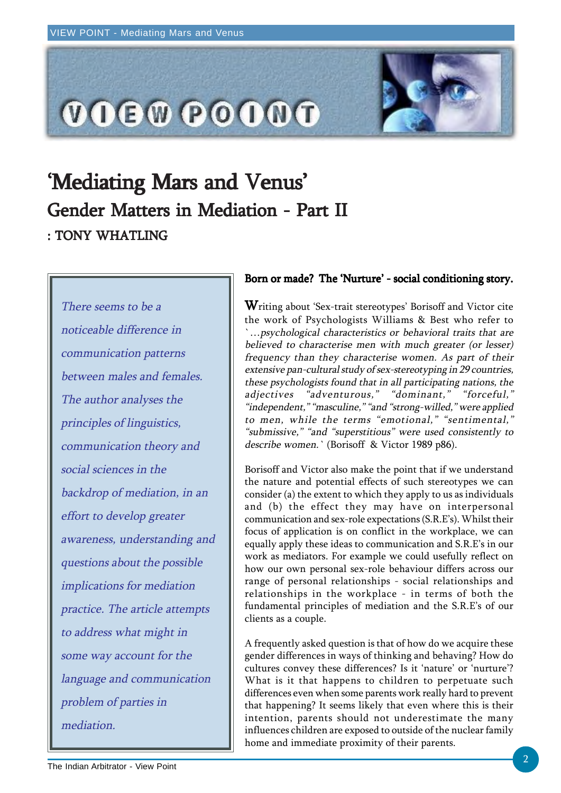

# 'Mediating Mars and Venus' Gender Matters in Mediation - Part II : TONY WHATLING

There seems to be a noticeable difference in communication patterns between males and females. The author analyses the principles of linguistics, communication theory and social sciences in the backdrop of mediation, in an effort to develop greater awareness, understanding and questions about the possible implications for mediation practice. The article attempts to address what might in some way account for the language and communication problem of parties in mediation.

### Born or made? The 'Nurture' - social conditioning story.

Writing about 'Sex-trait stereotypes' Borisoff and Victor cite the work of Psychologists Williams & Best who refer to `…psychological characteristics or behavioral traits that are believed to characterise men with much greater (or lesser) frequency than they characterise women. As part of their extensive pan-cultural study of sex-stereotyping in 29 countries, these psychologists found that in all participating nations, the adjectives "adventurous," "dominant," "forceful," "independent," "masculine," "and "strong-willed," were applied to men, while the terms "emotional," "sentimental," "submissive," "and "superstitious" were used consistently to describe women.` (Borisoff & Victor 1989 p86).

Borisoff and Victor also make the point that if we understand the nature and potential effects of such stereotypes we can consider (a) the extent to which they apply to us as individuals and (b) the effect they may have on interpersonal communication and sex-role expectations (S.R.E's). Whilst their focus of application is on conflict in the workplace, we can equally apply these ideas to communication and S.R.E's in our work as mediators. For example we could usefully reflect on how our own personal sex-role behaviour differs across our range of personal relationships - social relationships and relationships in the workplace - in terms of both the fundamental principles of mediation and the S.R.E's of our clients as a couple.

A frequently asked question is that of how do we acquire these gender differences in ways of thinking and behaving? How do cultures convey these differences? Is it 'nature' or 'nurture'? What is it that happens to children to perpetuate such differences even when some parents work really hard to prevent that happening? It seems likely that even where this is their intention, parents should not underestimate the many influences children are exposed to outside of the nuclear family home and immediate proximity of their parents.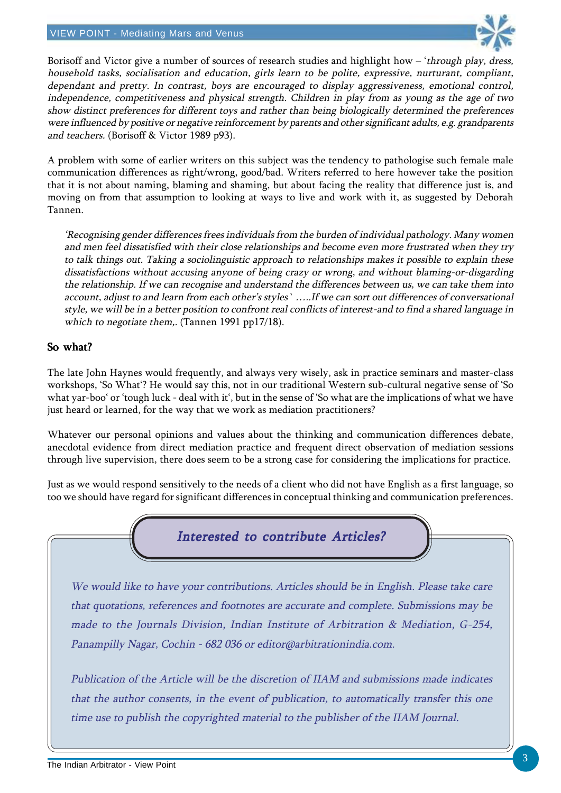

Borisoff and Victor give a number of sources of research studies and highlight how - 'through play, dress, household tasks, socialisation and education, girls learn to be polite, expressive, nurturant, compliant, dependant and pretty. In contrast, boys are encouraged to display aggressiveness, emotional control, independence, competitiveness and physical strength. Children in play from as young as the age of two show distinct preferences for different toys and rather than being biologically determined the preferences were influenced by positive or negative reinforcement by parents and other significant adults, e.g. grandparents and teachers. (Borisoff & Victor 1989 p93).

A problem with some of earlier writers on this subject was the tendency to pathologise such female male communication differences as right/wrong, good/bad. Writers referred to here however take the position that it is not about naming, blaming and shaming, but about facing the reality that difference just is, and moving on from that assumption to looking at ways to live and work with it, as suggested by Deborah Tannen.

'Recognising gender differences frees individuals from the burden of individual pathology. Many women and men feel dissatisfied with their close relationships and become even more frustrated when they try to talk things out. Taking a sociolinguistic approach to relationships makes it possible to explain these dissatisfactions without accusing anyone of being crazy or wrong, and without blaming-or-disgarding the relationship. If we can recognise and understand the differences between us, we can take them into account, adjust to and learn from each other's styles` …..If we can sort out differences of conversational style, we will be in a better position to confront real conflicts of interest-and to find a shared language in which to negotiate them,. (Tannen 1991 pp17/18).

## So what?

The late John Haynes would frequently, and always very wisely, ask in practice seminars and master-class workshops, 'So What'? He would say this, not in our traditional Western sub-cultural negative sense of 'So what yar-boo' or 'tough luck - deal with it', but in the sense of 'So what are the implications of what we have just heard or learned, for the way that we work as mediation practitioners?

Whatever our personal opinions and values about the thinking and communication differences debate, anecdotal evidence from direct mediation practice and frequent direct observation of mediation sessions through live supervision, there does seem to be a strong case for considering the implications for practice.

Just as we would respond sensitively to the needs of a client who did not have English as a first language, so too we should have regard for significant differences in conceptual thinking and communication preferences.



We would like to have your contributions. Articles should be in English. Please take care that quotations, references and footnotes are accurate and complete. Submissions may be made to the Journals Division, Indian Institute of Arbitration & Mediation, G-254, Panampilly Nagar, Cochin - 682 036 or editor@arbitrationindia.com.

Publication of the Article will be the discretion of IIAM and submissions made indicates that the author consents, in the event of publication, to automatically transfer this one time use to publish the copyrighted material to the publisher of the IIAM Journal.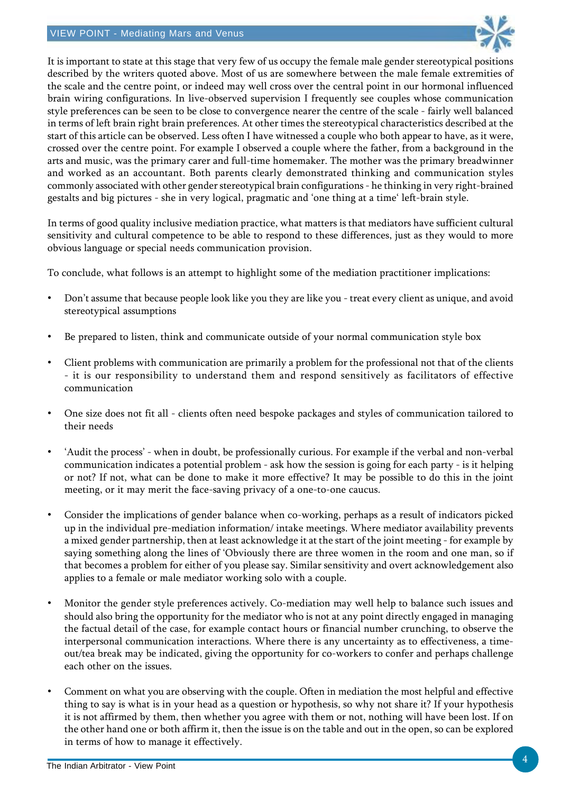

It is important to state at this stage that very few of us occupy the female male gender stereotypical positions described by the writers quoted above. Most of us are somewhere between the male female extremities of the scale and the centre point, or indeed may well cross over the central point in our hormonal influenced brain wiring configurations. In live-observed supervision I frequently see couples whose communication style preferences can be seen to be close to convergence nearer the centre of the scale - fairly well balanced in terms of left brain right brain preferences. At other times the stereotypical characteristics described at the start of this article can be observed. Less often I have witnessed a couple who both appear to have, as it were, crossed over the centre point. For example I observed a couple where the father, from a background in the arts and music, was the primary carer and full-time homemaker. The mother was the primary breadwinner and worked as an accountant. Both parents clearly demonstrated thinking and communication styles commonly associated with other gender stereotypical brain configurations - he thinking in very right-brained gestalts and big pictures - she in very logical, pragmatic and 'one thing at a time' left-brain style.

In terms of good quality inclusive mediation practice, what matters is that mediators have sufficient cultural sensitivity and cultural competence to be able to respond to these differences, just as they would to more obvious language or special needs communication provision.

To conclude, what follows is an attempt to highlight some of the mediation practitioner implications:

- Don't assume that because people look like you they are like you treat every client as unique, and avoid stereotypical assumptions
- Be prepared to listen, think and communicate outside of your normal communication style box
- Client problems with communication are primarily a problem for the professional not that of the clients - it is our responsibility to understand them and respond sensitively as facilitators of effective communication
- One size does not fit all clients often need bespoke packages and styles of communication tailored to their needs
- 'Audit the process' when in doubt, be professionally curious. For example if the verbal and non-verbal communication indicates a potential problem - ask how the session is going for each party - is it helping or not? If not, what can be done to make it more effective? It may be possible to do this in the joint meeting, or it may merit the face-saving privacy of a one-to-one caucus.
- Consider the implications of gender balance when co-working, perhaps as a result of indicators picked up in the individual pre-mediation information/ intake meetings. Where mediator availability prevents a mixed gender partnership, then at least acknowledge it at the start of the joint meeting - for example by saying something along the lines of 'Obviously there are three women in the room and one man, so if that becomes a problem for either of you please say. Similar sensitivity and overt acknowledgement also applies to a female or male mediator working solo with a couple.
- Monitor the gender style preferences actively. Co-mediation may well help to balance such issues and should also bring the opportunity for the mediator who is not at any point directly engaged in managing the factual detail of the case, for example contact hours or financial number crunching, to observe the interpersonal communication interactions. Where there is any uncertainty as to effectiveness, a timeout/tea break may be indicated, giving the opportunity for co-workers to confer and perhaps challenge each other on the issues.
- Comment on what you are observing with the couple. Often in mediation the most helpful and effective thing to say is what is in your head as a question or hypothesis, so why not share it? If your hypothesis it is not affirmed by them, then whether you agree with them or not, nothing will have been lost. If on the other hand one or both affirm it, then the issue is on the table and out in the open, so can be explored in terms of how to manage it effectively.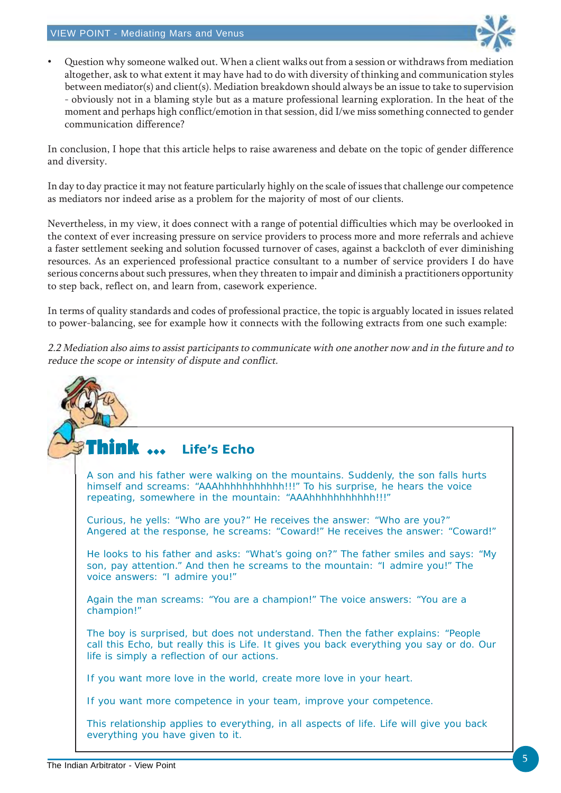

• Question why someone walked out. When a client walks out from a session or withdraws from mediation altogether, ask to what extent it may have had to do with diversity of thinking and communication styles between mediator(s) and client(s). Mediation breakdown should always be an issue to take to supervision - obviously not in a blaming style but as a mature professional learning exploration. In the heat of the moment and perhaps high conflict/emotion in that session, did I/we miss something connected to gender communication difference?

In conclusion, I hope that this article helps to raise awareness and debate on the topic of gender difference and diversity.

In day to day practice it may not feature particularly highly on the scale of issues that challenge our competence as mediators nor indeed arise as a problem for the majority of most of our clients.

Nevertheless, in my view, it does connect with a range of potential difficulties which may be overlooked in the context of ever increasing pressure on service providers to process more and more referrals and achieve a faster settlement seeking and solution focussed turnover of cases, against a backcloth of ever diminishing resources. As an experienced professional practice consultant to a number of service providers I do have serious concerns about such pressures, when they threaten to impair and diminish a practitioners opportunity to step back, reflect on, and learn from, casework experience.

In terms of quality standards and codes of professional practice, the topic is arguably located in issues related to power-balancing, see for example how it connects with the following extracts from one such example:

2.2 Mediation also aims to assist participants to communicate with one another now and in the future and to reduce the scope or intensity of dispute and conflict.

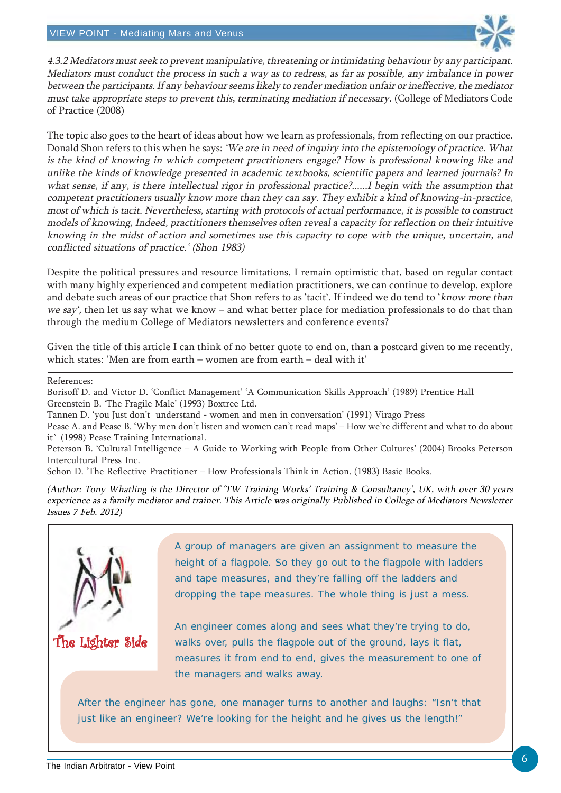

4.3.2 Mediators must seek to prevent manipulative, threatening or intimidating behaviour by any participant. Mediators must conduct the process in such a way as to redress, as far as possible, any imbalance in power between the participants. If any behaviour seems likely to render mediation unfair or ineffective, the mediator must take appropriate steps to prevent this, terminating mediation if necessary. (College of Mediators Code of Practice (2008)

The topic also goes to the heart of ideas about how we learn as professionals, from reflecting on our practice. Donald Shon refers to this when he says: 'We are in need of inquiry into the epistemology of practice. What is the kind of knowing in which competent practitioners engage? How is professional knowing like and unlike the kinds of knowledge presented in academic textbooks, scientific papers and learned journals? In what sense, if any, is there intellectual rigor in professional practice?......I begin with the assumption that competent practitioners usually know more than they can say. They exhibit a kind of knowing-in-practice, most of which is tacit. Nevertheless, starting with protocols of actual performance, it is possible to construct models of knowing, Indeed, practitioners themselves often reveal a capacity for reflection on their intuitive knowing in the midst of action and sometimes use this capacity to cope with the unique, uncertain, and conflicted situations of practice.' (Shon 1983)

Despite the political pressures and resource limitations, I remain optimistic that, based on regular contact with many highly experienced and competent mediation practitioners, we can continue to develop, explore and debate such areas of our practice that Shon refers to as 'tacit'. If indeed we do tend to 'know more than we say', then let us say what we know – and what better place for mediation professionals to do that than through the medium College of Mediators newsletters and conference events?

Given the title of this article I can think of no better quote to end on, than a postcard given to me recently, which states: 'Men are from earth – women are from earth – deal with it'

#### References:

Borisoff D. and Victor D. 'Conflict Management' 'A Communication Skills Approach' (1989) Prentice Hall Greenstein B. 'The Fragile Male' (1993) Boxtree Ltd.

Tannen D. 'you Just don't understand - women and men in conversation' (1991) Virago Press

Pease A. and Pease B. 'Why men don't listen and women can't read maps' – How we're different and what to do about it` (1998) Pease Training International.

Peterson B. 'Cultural Intelligence – A Guide to Working with People from Other Cultures' (2004) Brooks Peterson Intercultural Press Inc.

Schon D. 'The Reflective Practitioner – How Professionals Think in Action. (1983) Basic Books.

(Author: Tony Whatling is the Director of 'TW Training Works' Training & Consultancy', UK, with over 30 years experience as a family mediator and trainer. This Article was originally Published in College of Mediators Newsletter Issues 7 Feb. 2012)



A group of managers are given an assignment to measure the height of a flagpole. So they go out to the flagpole with ladders and tape measures, and they're falling off the ladders and dropping the tape measures. The whole thing is just a mess.

An engineer comes along and sees what they're trying to do, walks over, pulls the flagpole out of the ground, lays it flat, measures it from end to end, gives the measurement to one of the managers and walks away.

After the engineer has gone, one manager turns to another and laughs: "Isn't that just like an engineer? We're looking for the height and he gives us the length!"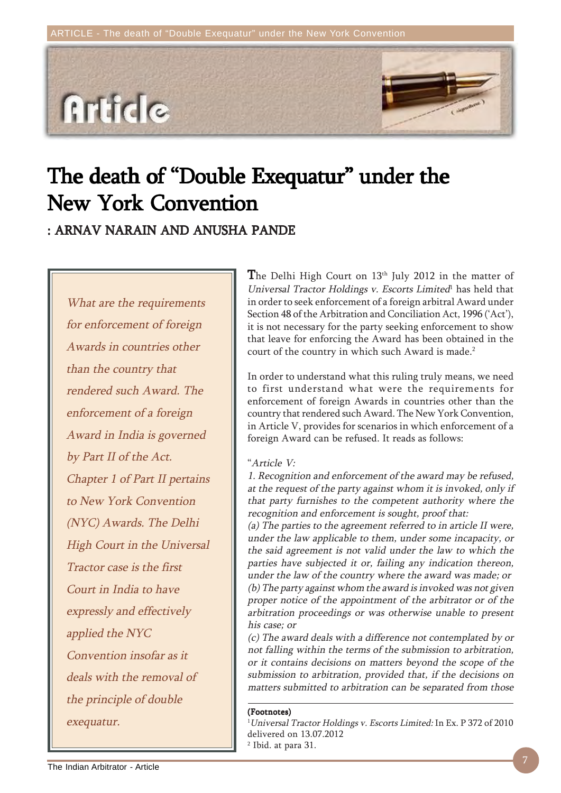

# The death of "Double Exequatur" under the New York Convention

: ARNAV NARAIN AND ANUSHA PANDE

What are the requirements for enforcement of foreign Awards in countries other than the country that rendered such Award. The enforcement of a foreign Award in India is governed by Part II of the Act. Chapter 1 of Part II pertains to New York Convention (NYC) Awards. The Delhi High Court in the Universal Tractor case is the first Court in India to have expressly and effectively applied the NYC Convention insofar as it deals with the removal of the principle of double exequatur.

The Delhi High Court on  $13<sup>th</sup>$  July 2012 in the matter of Universal Tractor Holdings v. Escorts Limited<sup>1</sup> has held that in order to seek enforcement of a foreign arbitral Award under Section 48 of the Arbitration and Conciliation Act, 1996 ('Act'), it is not necessary for the party seeking enforcement to show that leave for enforcing the Award has been obtained in the court of the country in which such Award is made.<sup>2</sup>

In order to understand what this ruling truly means, we need to first understand what were the requirements for enforcement of foreign Awards in countries other than the country that rendered such Award. The New York Convention, in Article V, provides for scenarios in which enforcement of a foreign Award can be refused. It reads as follows:

### "Article V:

1. Recognition and enforcement of the award may be refused, at the request of the party against whom it is invoked, only if that party furnishes to the competent authority where the recognition and enforcement is sought, proof that:

(a) The parties to the agreement referred to in article II were, under the law applicable to them, under some incapacity, or the said agreement is not valid under the law to which the parties have subjected it or, failing any indication thereon, under the law of the country where the award was made; or (b) The party against whom the award is invoked was not given proper notice of the appointment of the arbitrator or of the arbitration proceedings or was otherwise unable to present his case; or

(c) The award deals with a difference not contemplated by or not falling within the terms of the submission to arbitration, or it contains decisions on matters beyond the scope of the submission to arbitration, provided that, if the decisions on matters submitted to arbitration can be separated from those

#### (Footnotes)

1 Universal Tractor Holdings v. Escorts Limited: In Ex. P 372 of 2010 delivered on 13.07.2012 2 Ibid. at para 31.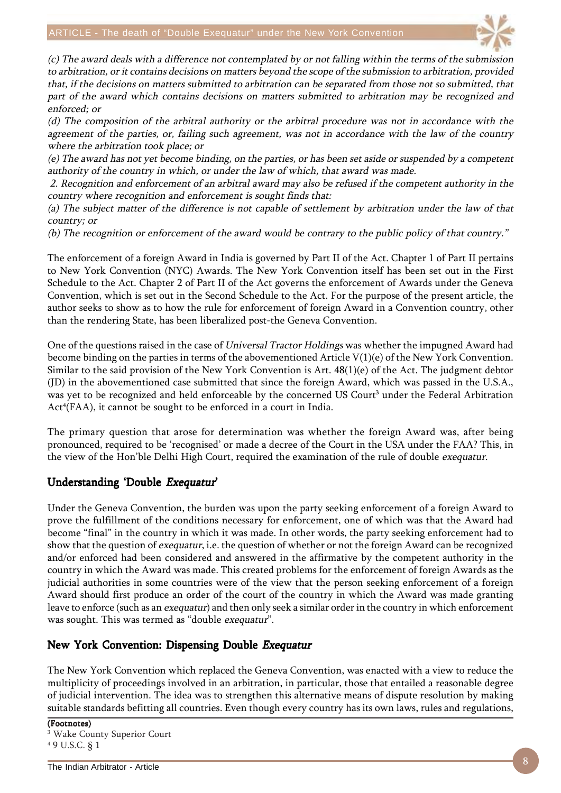

(c) The award deals with a difference not contemplated by or not falling within the terms of the submission to arbitration, or it contains decisions on matters beyond the scope of the submission to arbitration, provided that, if the decisions on matters submitted to arbitration can be separated from those not so submitted, that part of the award which contains decisions on matters submitted to arbitration may be recognized and enforced; or

(d) The composition of the arbitral authority or the arbitral procedure was not in accordance with the agreement of the parties, or, failing such agreement, was not in accordance with the law of the country where the arbitration took place; or

(e) The award has not yet become binding, on the parties, or has been set aside or suspended by a competent authority of the country in which, or under the law of which, that award was made.

 2. Recognition and enforcement of an arbitral award may also be refused if the competent authority in the country where recognition and enforcement is sought finds that:

(a) The subject matter of the difference is not capable of settlement by arbitration under the law of that country; or

(b) The recognition or enforcement of the award would be contrary to the public policy of that country."

The enforcement of a foreign Award in India is governed by Part II of the Act. Chapter 1 of Part II pertains to New York Convention (NYC) Awards. The New York Convention itself has been set out in the First Schedule to the Act. Chapter 2 of Part II of the Act governs the enforcement of Awards under the Geneva Convention, which is set out in the Second Schedule to the Act. For the purpose of the present article, the author seeks to show as to how the rule for enforcement of foreign Award in a Convention country, other than the rendering State, has been liberalized post-the Geneva Convention.

One of the questions raised in the case of Universal Tractor Holdings was whether the impugned Award had become binding on the parties in terms of the abovementioned Article V(1)(e) of the New York Convention. Similar to the said provision of the New York Convention is Art. 48(1)(e) of the Act. The judgment debtor (JD) in the abovementioned case submitted that since the foreign Award, which was passed in the U.S.A., was yet to be recognized and held enforceable by the concerned US Court $^3$  under the Federal Arbitration Act<sup>4</sup>(FAA), it cannot be sought to be enforced in a court in India.

The primary question that arose for determination was whether the foreign Award was, after being pronounced, required to be 'recognised' or made a decree of the Court in the USA under the FAA? This, in the view of the Hon'ble Delhi High Court, required the examination of the rule of double exequatur.

## Understanding 'Double Exequatur'

Under the Geneva Convention, the burden was upon the party seeking enforcement of a foreign Award to prove the fulfillment of the conditions necessary for enforcement, one of which was that the Award had become "final" in the country in which it was made. In other words, the party seeking enforcement had to show that the question of exequatur, i.e. the question of whether or not the foreign Award can be recognized and/or enforced had been considered and answered in the affirmative by the competent authority in the country in which the Award was made. This created problems for the enforcement of foreign Awards as the judicial authorities in some countries were of the view that the person seeking enforcement of a foreign Award should first produce an order of the court of the country in which the Award was made granting leave to enforce (such as an *exequatur*) and then only seek a similar order in the country in which enforcement was sought. This was termed as "double exequatur".

## New York Convention: Dispensing Double Exequatur

The New York Convention which replaced the Geneva Convention, was enacted with a view to reduce the multiplicity of proceedings involved in an arbitration, in particular, those that entailed a reasonable degree of judicial intervention. The idea was to strengthen this alternative means of dispute resolution by making suitable standards befitting all countries. Even though every country has its own laws, rules and regulations,

(Footnotes) 3 Wake County Superior Court 4 9 U.S.C. § 1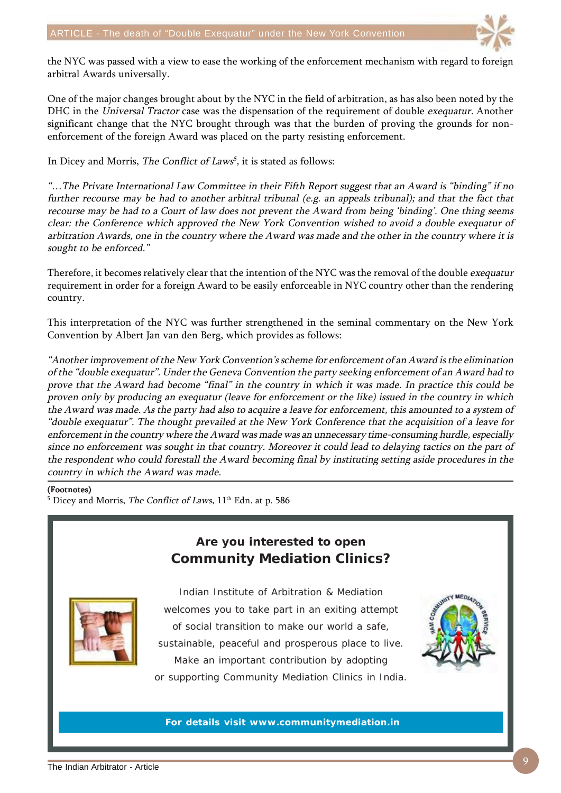

the NYC was passed with a view to ease the working of the enforcement mechanism with regard to foreign arbitral Awards universally.

One of the major changes brought about by the NYC in the field of arbitration, as has also been noted by the DHC in the Universal Tractor case was the dispensation of the requirement of double exequatur. Another significant change that the NYC brought through was that the burden of proving the grounds for nonenforcement of the foreign Award was placed on the party resisting enforcement.

In Dicey and Morris, The Conflict of Laws<sup>5</sup>, it is stated as follows:

"…The Private International Law Committee in their Fifth Report suggest that an Award is "binding" if no further recourse may be had to another arbitral tribunal (e.g. an appeals tribunal); and that the fact that recourse may be had to a Court of law does not prevent the Award from being 'binding'. One thing seems clear: the Conference which approved the New York Convention wished to avoid a double exequatur of arbitration Awards, one in the country where the Award was made and the other in the country where it is sought to be enforced."

Therefore, it becomes relatively clear that the intention of the NYC was the removal of the double exequatur requirement in order for a foreign Award to be easily enforceable in NYC country other than the rendering country.

This interpretation of the NYC was further strengthened in the seminal commentary on the New York Convention by Albert Jan van den Berg, which provides as follows:

"Another improvement of the New York Convention's scheme for enforcement of an Award is the elimination of the "double exequatur". Under the Geneva Convention the party seeking enforcement of an Award had to prove that the Award had become "final" in the country in which it was made. In practice this could be proven only by producing an exequatur (leave for enforcement or the like) issued in the country in which the Award was made. As the party had also to acquire a leave for enforcement, this amounted to a system of "double exequatur". The thought prevailed at the New York Conference that the acquisition of a leave for enforcement in the country where the Award was made was an unnecessary time-consuming hurdle, especially since no enforcement was sought in that country. Moreover it could lead to delaying tactics on the part of the respondent who could forestall the Award becoming final by instituting setting aside procedures in the country in which the Award was made.

#### (Footnotes)

 $^5$  Dicey and Morris, *The Conflict of Laws*,  $11^{\text{th}}$  Edn. at p. 586





Indian Institute of Arbitration & Mediation welcomes you to take part in an exiting attempt of social transition to make our world a safe, sustainable, peaceful and prosperous place to live. Make an important contribution by adopting or supporting Community Mediation Clinics in India.



**For details visit www.communitymediation.in**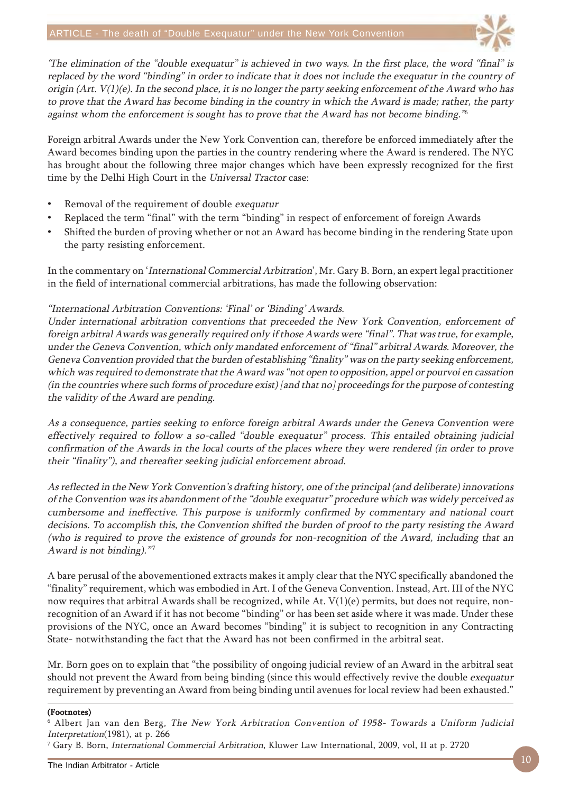

'The elimination of the "double exequatur" is achieved in two ways. In the first place, the word "final" is replaced by the word "binding" in order to indicate that it does not include the exequatur in the country of origin (Art.  $V(1)(e)$ . In the second place, it is no longer the party seeking enforcement of the Award who has to prove that the Award has become binding in the country in which the Award is made; rather, the party against whom the enforcement is sought has to prove that the Award has not become binding.<sup>36</sup>

Foreign arbitral Awards under the New York Convention can, therefore be enforced immediately after the Award becomes binding upon the parties in the country rendering where the Award is rendered. The NYC has brought about the following three major changes which have been expressly recognized for the first time by the Delhi High Court in the Universal Tractor case:

- Removal of the requirement of double exequatur
- Replaced the term "final" with the term "binding" in respect of enforcement of foreign Awards
- Shifted the burden of proving whether or not an Award has become binding in the rendering State upon the party resisting enforcement.

In the commentary on 'International Commercial Arbitration', Mr. Gary B. Born, an expert legal practitioner in the field of international commercial arbitrations, has made the following observation:

#### "International Arbitration Conventions: 'Final' or 'Binding' Awards.

Under international arbitration conventions that preceeded the New York Convention, enforcement of foreign arbitral Awards was generally required only if those Awards were "final". That was true, for example, under the Geneva Convention, which only mandated enforcement of "final" arbitral Awards. Moreover, the Geneva Convention provided that the burden of establishing "finality" was on the party seeking enforcement, which was required to demonstrate that the Award was "not open to opposition, appel or pourvoi en cassation (in the countries where such forms of procedure exist) [and that no] proceedings for the purpose of contesting the validity of the Award are pending.

As a consequence, parties seeking to enforce foreign arbitral Awards under the Geneva Convention were effectively required to follow a so-called "double exequatur" process. This entailed obtaining judicial confirmation of the Awards in the local courts of the places where they were rendered (in order to prove their "finality"), and thereafter seeking judicial enforcement abroad.

As reflected in the New York Convention's drafting history, one of the principal (and deliberate) innovations of the Convention was its abandonment of the "double exequatur" procedure which was widely perceived as cumbersome and ineffective. This purpose is uniformly confirmed by commentary and national court decisions. To accomplish this, the Convention shifted the burden of proof to the party resisting the Award (who is required to prove the existence of grounds for non-recognition of the Award, including that an Award is not binding)."<sup>7</sup>

A bare perusal of the abovementioned extracts makes it amply clear that the NYC specifically abandoned the "finality" requirement, which was embodied in Art. I of the Geneva Convention. Instead, Art. III of the NYC now requires that arbitral Awards shall be recognized, while At. V(1)(e) permits, but does not require, nonrecognition of an Award if it has not become "binding" or has been set aside where it was made. Under these provisions of the NYC, once an Award becomes "binding" it is subject to recognition in any Contracting State- notwithstanding the fact that the Award has not been confirmed in the arbitral seat.

Mr. Born goes on to explain that "the possibility of ongoing judicial review of an Award in the arbitral seat should not prevent the Award from being binding (since this would effectively revive the double exequatur requirement by preventing an Award from being binding until avenues for local review had been exhausted."

#### (Footnotes)

7 Gary B. Born, International Commercial Arbitration, Kluwer Law International, 2009, vol, II at p. 2720

 $^{\rm 6}$  Albert Jan van den Berg, *The New York Arbitration Convention of 1958- Towards a Uniform Judicial* Interpretation(1981), at p. 266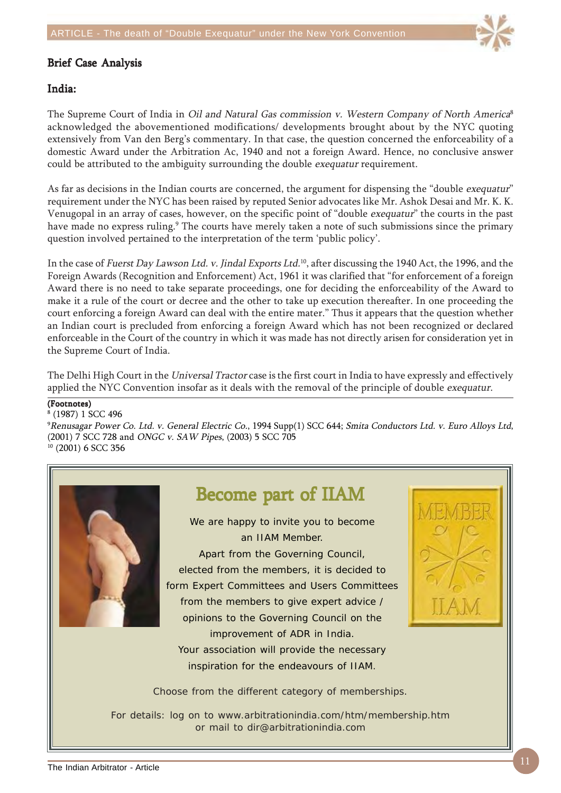

#### **Brief Case Analysis**

### India:

The Supreme Court of India in Oil and Natural Gas commission v. Western Company of North America<sup>8</sup> acknowledged the abovementioned modifications/ developments brought about by the NYC quoting extensively from Van den Berg's commentary. In that case, the question concerned the enforceability of a domestic Award under the Arbitration Ac, 1940 and not a foreign Award. Hence, no conclusive answer could be attributed to the ambiguity surrounding the double exequatur requirement.

As far as decisions in the Indian courts are concerned, the argument for dispensing the "double exequatur" requirement under the NYC has been raised by reputed Senior advocates like Mr. Ashok Desai and Mr. K. K. Venugopal in an array of cases, however, on the specific point of "double exequatur" the courts in the past have made no express ruling.<sup>9</sup> The courts have merely taken a note of such submissions since the primary question involved pertained to the interpretation of the term 'public policy'.

In the case of Fuerst Day Lawson Ltd. v. Jindal Exports Ltd.<sup>10</sup>, after discussing the 1940 Act, the 1996, and the Foreign Awards (Recognition and Enforcement) Act, 1961 it was clarified that "for enforcement of a foreign Award there is no need to take separate proceedings, one for deciding the enforceability of the Award to make it a rule of the court or decree and the other to take up execution thereafter. In one proceeding the court enforcing a foreign Award can deal with the entire mater." Thus it appears that the question whether an Indian court is precluded from enforcing a foreign Award which has not been recognized or declared enforceable in the Court of the country in which it was made has not directly arisen for consideration yet in the Supreme Court of India.

The Delhi High Court in the Universal Tractor case is the first court in India to have expressly and effectively applied the NYC Convention insofar as it deals with the removal of the principle of double exequatur.

#### (Footnotes)

8 (1987) 1 SCC 496 9 Renusagar Power Co. Ltd. v. General Electric Co., 1994 Supp(1) SCC 644; Smita Conductors Ltd. v. Euro Alloys Ltd, (2001) 7 SCC 728 and ONGC v. SAW Pipes, (2003) 5 SCC 705 10 (2001) 6 SCC 356



## Become part of IIAM

We are happy to invite you to become an IIAM Member. Apart from the Governing Council, elected from the members, it is decided to form Expert Committees and Users Committees from the members to give expert advice / opinions to the Governing Council on the improvement of ADR in India. Your association will provide the necessary inspiration for the endeavours of IIAM.



Choose from the different category of memberships.

For details: log on to www.arbitrationindia.com/htm/membership.htm or mail to dir@arbitrationindia.com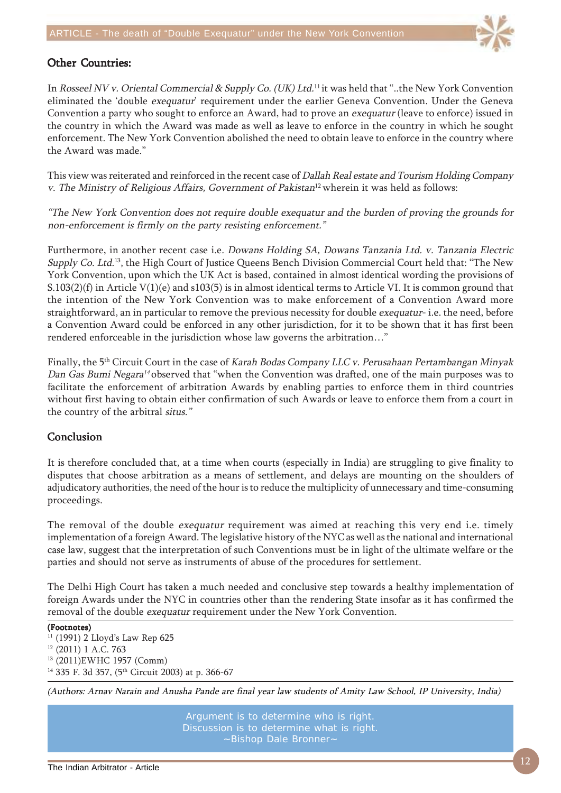

## **Other Countries:**

In Rosseel NV v. Oriental Commercial & Supply Co. (UK) Ltd.11 it was held that "..the New York Convention eliminated the 'double exequatur' requirement under the earlier Geneva Convention. Under the Geneva Convention a party who sought to enforce an Award, had to prove an exequatur (leave to enforce) issued in the country in which the Award was made as well as leave to enforce in the country in which he sought enforcement. The New York Convention abolished the need to obtain leave to enforce in the country where the Award was made."

This view was reiterated and reinforced in the recent case of Dallah Real estate and Tourism Holding Company v. The Ministry of Religious Affairs, Government of Pakistan<sup>12</sup> wherein it was held as follows:

"The New York Convention does not require double exequatur and the burden of proving the grounds for non-enforcement is firmly on the party resisting enforcement."

Furthermore, in another recent case i.e. Dowans Holding SA, Dowans Tanzania Ltd. v. Tanzania Electric Supply Co. Ltd.<sup>13</sup>, the High Court of Justice Queens Bench Division Commercial Court held that: "The New York Convention, upon which the UK Act is based, contained in almost identical wording the provisions of S.103(2)(f) in Article V(1)(e) and s103(5) is in almost identical terms to Article VI. It is common ground that the intention of the New York Convention was to make enforcement of a Convention Award more straightforward, an in particular to remove the previous necessity for double *exequatur*- i.e. the need, before a Convention Award could be enforced in any other jurisdiction, for it to be shown that it has first been rendered enforceable in the jurisdiction whose law governs the arbitration…"

Finally, the 5th Circuit Court in the case of Karah Bodas Company LLC v. Perusahaan Pertambangan Minyak Dan Gas Bumi Negara<sup>14</sup> observed that "when the Convention was drafted, one of the main purposes was to facilitate the enforcement of arbitration Awards by enabling parties to enforce them in third countries without first having to obtain either confirmation of such Awards or leave to enforce them from a court in the country of the arbitral situs."

### Conclusion

It is therefore concluded that, at a time when courts (especially in India) are struggling to give finality to disputes that choose arbitration as a means of settlement, and delays are mounting on the shoulders of adjudicatory authorities, the need of the hour is to reduce the multiplicity of unnecessary and time-consuming proceedings.

The removal of the double *exequatur* requirement was aimed at reaching this very end i.e. timely implementation of a foreign Award. The legislative history of the NYC as well as the national and international case law, suggest that the interpretation of such Conventions must be in light of the ultimate welfare or the parties and should not serve as instruments of abuse of the procedures for settlement.

The Delhi High Court has taken a much needed and conclusive step towards a healthy implementation of foreign Awards under the NYC in countries other than the rendering State insofar as it has confirmed the removal of the double exequatur requirement under the New York Convention.

#### (Footnotes)

<sup>11</sup> (1991) 2 Lloyd's Law Rep 625 12 (2011) 1 A.C. 763 13 (2011)EWHC 1957 (Comm) <sup>14</sup> 335 F. 3d 357, (5<sup>th</sup> Circuit 2003) at p. 366-67

(Authors: Arnav Narain and Anusha Pande are final year law students of Amity Law School, IP University, India)

Argument is to determine who is right. Discussion is to determine what is right. ~Bishop Dale Bronner~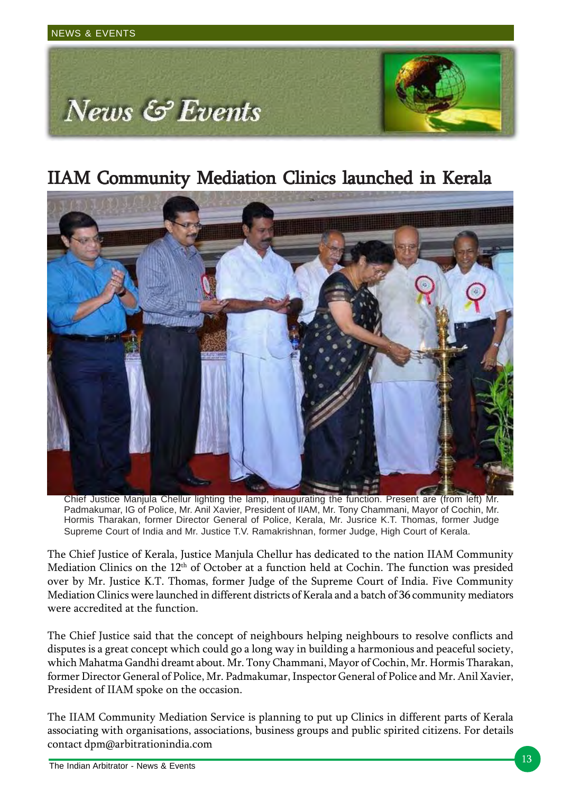

## IIAM Community Mediation Clinics launched in Kerala



Chief Justice Manjula Chellur lighting the lamp, inaugurating the function. Present are (from left) Mr. Padmakumar, IG of Police, Mr. Anil Xavier, President of IIAM, Mr. Tony Chammani, Mayor of Cochin, Mr. Hormis Tharakan, former Director General of Police, Kerala, Mr. Jusrice K.T. Thomas, former Judge Supreme Court of India and Mr. Justice T.V. Ramakrishnan, former Judge, High Court of Kerala.

The Chief Justice of Kerala, Justice Manjula Chellur has dedicated to the nation IIAM Community Mediation Clinics on the 12<sup>th</sup> of October at a function held at Cochin. The function was presided over by Mr. Justice K.T. Thomas, former Judge of the Supreme Court of India. Five Community Mediation Clinics were launched in different districts of Kerala and a batch of 36 community mediators were accredited at the function.

The Chief Justice said that the concept of neighbours helping neighbours to resolve conflicts and disputes is a great concept which could go a long way in building a harmonious and peaceful society, which Mahatma Gandhi dreamt about. Mr. Tony Chammani, Mayor of Cochin, Mr. Hormis Tharakan, former Director General of Police, Mr. Padmakumar, Inspector General of Police and Mr. Anil Xavier, President of IIAM spoke on the occasion.

The IIAM Community Mediation Service is planning to put up Clinics in different parts of Kerala associating with organisations, associations, business groups and public spirited citizens. For details contact dpm@arbitrationindia.com